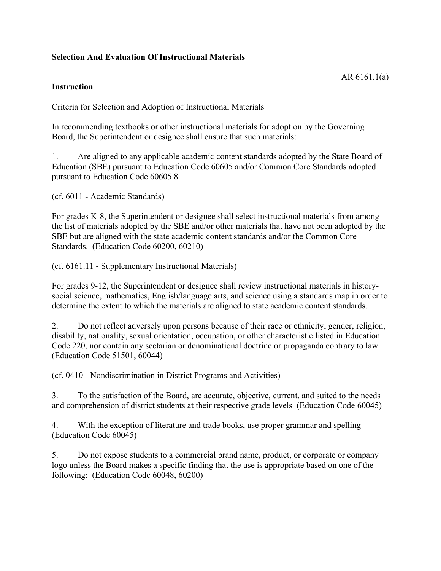## **Selection And Evaluation Of Instructional Materials**

## **Instruction**

Criteria for Selection and Adoption of Instructional Materials

In recommending textbooks or other instructional materials for adoption by the Governing Board, the Superintendent or designee shall ensure that such materials:

1. Are aligned to any applicable academic content standards adopted by the State Board of Education (SBE) pursuant to Education Code 60605 and/or Common Core Standards adopted pursuant to Education Code 60605.8

(cf. 6011 - Academic Standards)

For grades K-8, the Superintendent or designee shall select instructional materials from among the list of materials adopted by the SBE and/or other materials that have not been adopted by the SBE but are aligned with the state academic content standards and/or the Common Core Standards. (Education Code 60200, 60210)

(cf. 6161.11 - Supplementary Instructional Materials)

For grades 9-12, the Superintendent or designee shall review instructional materials in historysocial science, mathematics, English/language arts, and science using a standards map in order to determine the extent to which the materials are aligned to state academic content standards.

2. Do not reflect adversely upon persons because of their race or ethnicity, gender, religion, disability, nationality, sexual orientation, occupation, or other characteristic listed in Education Code 220, nor contain any sectarian or denominational doctrine or propaganda contrary to law (Education Code 51501, 60044)

(cf. 0410 - Nondiscrimination in District Programs and Activities)

3. To the satisfaction of the Board, are accurate, objective, current, and suited to the needs and comprehension of district students at their respective grade levels (Education Code 60045)

4. With the exception of literature and trade books, use proper grammar and spelling (Education Code 60045)

5. Do not expose students to a commercial brand name, product, or corporate or company logo unless the Board makes a specific finding that the use is appropriate based on one of the following: (Education Code 60048, 60200)

AR 6161.1(a)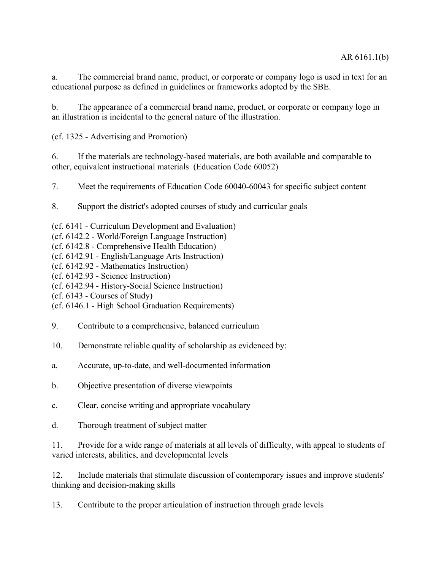a. The commercial brand name, product, or corporate or company logo is used in text for an educational purpose as defined in guidelines or frameworks adopted by the SBE.

b. The appearance of a commercial brand name, product, or corporate or company logo in an illustration is incidental to the general nature of the illustration.

(cf. 1325 - Advertising and Promotion)

6. If the materials are technology-based materials, are both available and comparable to other, equivalent instructional materials (Education Code 60052)

7. Meet the requirements of Education Code 60040-60043 for specific subject content

8. Support the district's adopted courses of study and curricular goals

(cf. 6141 - Curriculum Development and Evaluation)

- (cf. 6142.2 World/Foreign Language Instruction)
- (cf. 6142.8 Comprehensive Health Education)
- (cf. 6142.91 English/Language Arts Instruction)
- (cf. 6142.92 Mathematics Instruction)
- (cf. 6142.93 Science Instruction)
- (cf. 6142.94 History-Social Science Instruction)
- (cf. 6143 Courses of Study)
- (cf. 6146.1 High School Graduation Requirements)
- 9. Contribute to a comprehensive, balanced curriculum
- 10. Demonstrate reliable quality of scholarship as evidenced by:
- a. Accurate, up-to-date, and well-documented information
- b. Objective presentation of diverse viewpoints
- c. Clear, concise writing and appropriate vocabulary
- d. Thorough treatment of subject matter

11. Provide for a wide range of materials at all levels of difficulty, with appeal to students of varied interests, abilities, and developmental levels

12. Include materials that stimulate discussion of contemporary issues and improve students' thinking and decision-making skills

13. Contribute to the proper articulation of instruction through grade levels